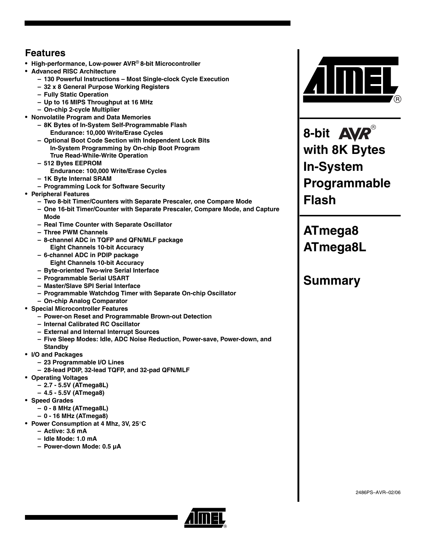# **Features**

- **High-performance, Low-power AVR**® **8-bit Microcontroller**
- **Advanced RISC Architecture**
	- **130 Powerful Instructions Most Single-clock Cycle Execution**
	- **32 x 8 General Purpose Working Registers**
	- **Fully Static Operation**
	- **Up to 16 MIPS Throughput at 16 MHz**
	- **On-chip 2-cycle Multiplier**
- **Nonvolatile Program and Data Memories**
	- **8K Bytes of In-System Self-Programmable Flash Endurance: 10,000 Write/Erase Cycles**
	- **Optional Boot Code Section with Independent Lock Bits In-System Programming by On-chip Boot Program True Read-While-Write Operation**
	- **512 Bytes EEPROM**
	- **Endurance: 100,000 Write/Erase Cycles**
	- **1K Byte Internal SRAM**
	- **Programming Lock for Software Security**
- **Peripheral Features**
	- **Two 8-bit Timer/Counters with Separate Prescaler, one Compare Mode**
	- **One 16-bit Timer/Counter with Separate Prescaler, Compare Mode, and Capture Mode**
	- **Real Time Counter with Separate Oscillator**
	- **Three PWM Channels**
	- **8-channel ADC in TQFP and QFN/MLF package Eight Channels 10-bit Accuracy**
	- **6-channel ADC in PDIP package Eight Channels 10-bit Accuracy**
	- **Byte-oriented Two-wire Serial Interface**
	- **Programmable Serial USART**
	- **Master/Slave SPI Serial Interface**
	- **Programmable Watchdog Timer with Separate On-chip Oscillator**
	- **On-chip Analog Comparator**
- **Special Microcontroller Features**
	- **Power-on Reset and Programmable Brown-out Detection**
	- **Internal Calibrated RC Oscillator**
	- **External and Internal Interrupt Sources**
	- **Five Sleep Modes: Idle, ADC Noise Reduction, Power-save, Power-down, and**
	- **Standby**
- **I/O and Packages**
	- **23 Programmable I/O Lines**
	- **28-lead PDIP, 32-lead TQFP, and 32-pad QFN/MLF**
- **Operating Voltages**
	- **2.7 5.5V (ATmega8L)**
	- **4.5 5.5V (ATmega8)**
- **Speed Grades**
	- **0 8 MHz (ATmega8L)**
	- **0 16 MHz (ATmega8)**
- **Power Consumption at 4 Mhz, 3V, 25**°**C**
	- **Active: 3.6 mA**
	- **Idle Mode: 1.0 mA**
	- **Power-down Mode: 0.5 µA**



**8-bit with 8K Bytes In-System Programmable Flash**

**ATmega8 ATmega8L**

# **Summary**

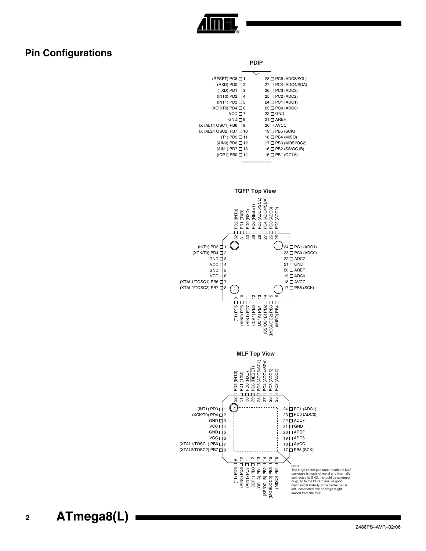

# <span id="page-1-0"></span>**Pin Configurations**

| טונוט                |    |    |                |  |  |  |  |
|----------------------|----|----|----------------|--|--|--|--|
|                      |    |    |                |  |  |  |  |
| (RESET) PC6 L        | 1  | 28 | PC5 (ADC5/SCL) |  |  |  |  |
| (RXD) PD0 □          | 2  | 27 | PC4 (ADC4/SDA) |  |  |  |  |
| (TXD) PD1 L          | 3  | 26 | PC3 (ADC3)     |  |  |  |  |
| (INTO) PD2 $\square$ | 4  | 25 | PC2 (ADC2)     |  |  |  |  |
| $(INT1)$ PD3 $\Box$  | 5  | 24 | PC1 (ADC1)     |  |  |  |  |
| (XCK/T0) PD4 L       | 6  | 23 | PC0 (ADC0)     |  |  |  |  |
| VCC <sub>1</sub>     | 7  | 22 | GND            |  |  |  |  |
| $GND \sqcap$         | 8  | 21 | <b>AREF</b>    |  |  |  |  |
| (XTAL1/TOSC1) PB6 □  | 9  | 20 | <b>AVCC</b>    |  |  |  |  |
| (XTAL2/TOSC2) PB7    | 10 | 19 | PB5 (SCK)      |  |  |  |  |
| (T1) PD5 □ 11        |    | 18 | PB4 (MISO)     |  |  |  |  |
| (AIN0) PD6 $\Box$ 12 |    | 17 | PB3 (MOSI/OC2) |  |  |  |  |
| (AIN1) PD7 □ 13      |    | 16 | PB2 (SS/OC1B)  |  |  |  |  |
| $(ICP1)$ PB0 $\Box$  | 14 | 15 | PB1 (OC1A)     |  |  |  |  |
|                      |    |    |                |  |  |  |  |

**PDIP**



**<sup>2</sup> ATmega8(L)**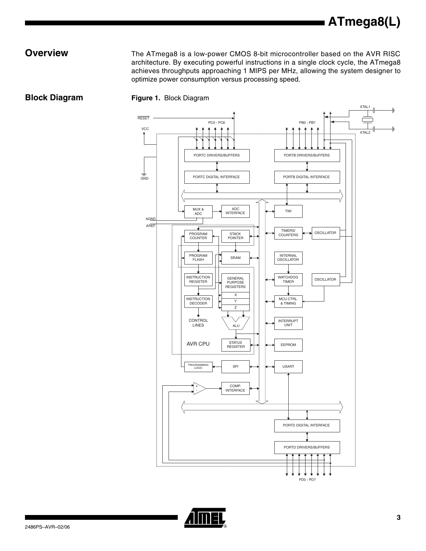**Overview** The ATmega8 is a low-power CMOS 8-bit microcontroller based on the AVR RISC architecture. By executing powerful instructions in a single clock cycle, the ATmega8 achieves throughputs approaching 1 MIPS per MHz, allowing the system designer to optimize power consumption versus processing speed.





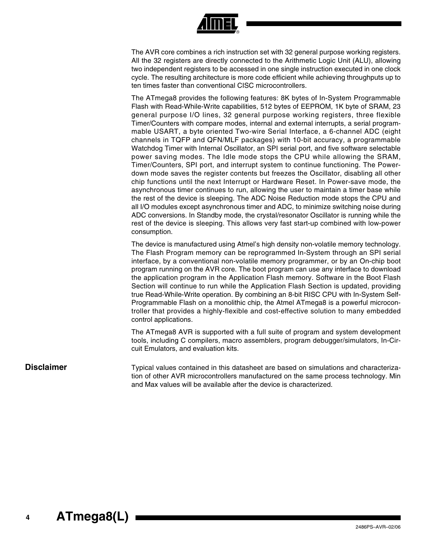

The AVR core combines a rich instruction set with 32 general purpose working registers. All the 32 registers are directly connected to the Arithmetic Logic Unit (ALU), allowing two independent registers to be accessed in one single instruction executed in one clock cycle. The resulting architecture is more code efficient while achieving throughputs up to ten times faster than conventional CISC microcontrollers.

The ATmega8 provides the following features: 8K bytes of In-System Programmable Flash with Read-While-Write capabilities, 512 bytes of EEPROM, 1K byte of SRAM, 23 general purpose I/O lines, 32 general purpose working registers, three flexible Timer/Counters with compare modes, internal and external interrupts, a serial programmable USART, a byte oriented Two-wire Serial Interface, a 6-channel ADC (eight channels in TQFP and QFN/MLF packages) with 10-bit accuracy, a programmable Watchdog Timer with Internal Oscillator, an SPI serial port, and five software selectable power saving modes. The Idle mode stops the CPU while allowing the SRAM, Timer/Counters, SPI port, and interrupt system to continue functioning. The Powerdown mode saves the register contents but freezes the Oscillator, disabling all other chip functions until the next Interrupt or Hardware Reset. In Power-save mode, the asynchronous timer continues to run, allowing the user to maintain a timer base while the rest of the device is sleeping. The ADC Noise Reduction mode stops the CPU and all I/O modules except asynchronous timer and ADC, to minimize switching noise during ADC conversions. In Standby mode, the crystal/resonator Oscillator is running while the rest of the device is sleeping. This allows very fast start-up combined with low-power consumption.

The device is manufactured using Atmel's high density non-volatile memory technology. The Flash Program memory can be reprogrammed In-System through an SPI serial interface, by a conventional non-volatile memory programmer, or by an On-chip boot program running on the AVR core. The boot program can use any interface to download the application program in the Application Flash memory. Software in the Boot Flash Section will continue to run while the Application Flash Section is updated, providing true Read-While-Write operation. By combining an 8-bit RISC CPU with In-System Self-Programmable Flash on a monolithic chip, the Atmel ATmega8 is a powerful microcontroller that provides a highly-flexible and cost-effective solution to many embedded control applications.

The ATmega8 AVR is supported with a full suite of program and system development tools, including C compilers, macro assemblers, program debugger/simulators, In-Circuit Emulators, and evaluation kits.

**Disclaimer** Typical values contained in this datasheet are based on simulations and characterization of other AVR microcontrollers manufactured on the same process technology. Min and Max values will be available after the device is characterized.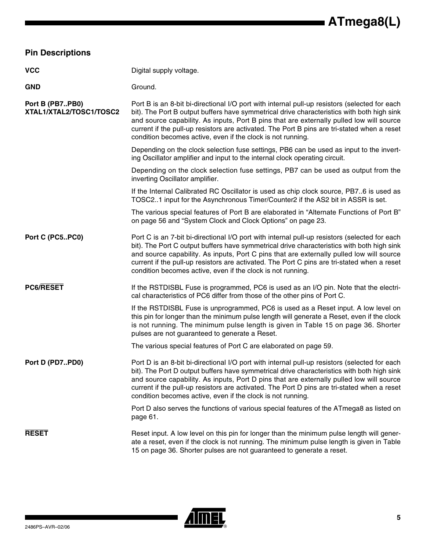<span id="page-4-0"></span>

| <b>Pin Descriptions</b>                    |                                                                                                                                                                                                                                                                                                                                                                                                                                                       |
|--------------------------------------------|-------------------------------------------------------------------------------------------------------------------------------------------------------------------------------------------------------------------------------------------------------------------------------------------------------------------------------------------------------------------------------------------------------------------------------------------------------|
| <b>VCC</b>                                 | Digital supply voltage.                                                                                                                                                                                                                                                                                                                                                                                                                               |
| <b>GND</b>                                 | Ground.                                                                                                                                                                                                                                                                                                                                                                                                                                               |
| Port B (PB7PB0)<br>XTAL1/XTAL2/TOSC1/TOSC2 | Port B is an 8-bit bi-directional I/O port with internal pull-up resistors (selected for each<br>bit). The Port B output buffers have symmetrical drive characteristics with both high sink<br>and source capability. As inputs, Port B pins that are externally pulled low will source<br>current if the pull-up resistors are activated. The Port B pins are tri-stated when a reset<br>condition becomes active, even if the clock is not running. |
|                                            | Depending on the clock selection fuse settings, PB6 can be used as input to the invert-<br>ing Oscillator amplifier and input to the internal clock operating circuit.                                                                                                                                                                                                                                                                                |
|                                            | Depending on the clock selection fuse settings, PB7 can be used as output from the<br>inverting Oscillator amplifier.                                                                                                                                                                                                                                                                                                                                 |
|                                            | If the Internal Calibrated RC Oscillator is used as chip clock source, PB76 is used as<br>TOSC21 input for the Asynchronous Timer/Counter2 if the AS2 bit in ASSR is set.                                                                                                                                                                                                                                                                             |
|                                            | The various special features of Port B are elaborated in "Alternate Functions of Port B"<br>on page 56 and "System Clock and Clock Options" on page 23.                                                                                                                                                                                                                                                                                               |
| Port C (PC5PC0)                            | Port C is an 7-bit bi-directional I/O port with internal pull-up resistors (selected for each<br>bit). The Port C output buffers have symmetrical drive characteristics with both high sink<br>and source capability. As inputs, Port C pins that are externally pulled low will source<br>current if the pull-up resistors are activated. The Port C pins are tri-stated when a reset<br>condition becomes active, even if the clock is not running. |
| <b>PC6/RESET</b>                           | If the RSTDISBL Fuse is programmed, PC6 is used as an I/O pin. Note that the electri-<br>cal characteristics of PC6 differ from those of the other pins of Port C.                                                                                                                                                                                                                                                                                    |
|                                            | If the RSTDISBL Fuse is unprogrammed, PC6 is used as a Reset input. A low level on<br>this pin for longer than the minimum pulse length will generate a Reset, even if the clock<br>is not running. The minimum pulse length is given in Table 15 on page 36. Shorter<br>pulses are not guaranteed to generate a Reset.                                                                                                                               |
|                                            | The various special features of Port C are elaborated on page 59.                                                                                                                                                                                                                                                                                                                                                                                     |
| Port D (PD7PD0)                            | Port D is an 8-bit bi-directional I/O port with internal pull-up resistors (selected for each<br>bit). The Port D output buffers have symmetrical drive characteristics with both high sink<br>and source capability. As inputs, Port D pins that are externally pulled low will source<br>current if the pull-up resistors are activated. The Port D pins are tri-stated when a reset<br>condition becomes active, even if the clock is not running. |
|                                            | Port D also serves the functions of various special features of the ATmega8 as listed on<br>page 61.                                                                                                                                                                                                                                                                                                                                                  |
| <b>RESET</b>                               | Reset input. A low level on this pin for longer than the minimum pulse length will gener-<br>ate a reset, even if the clock is not running. The minimum pulse length is given in Table<br>15 on page 36. Shorter pulses are not guaranteed to generate a reset.                                                                                                                                                                                       |

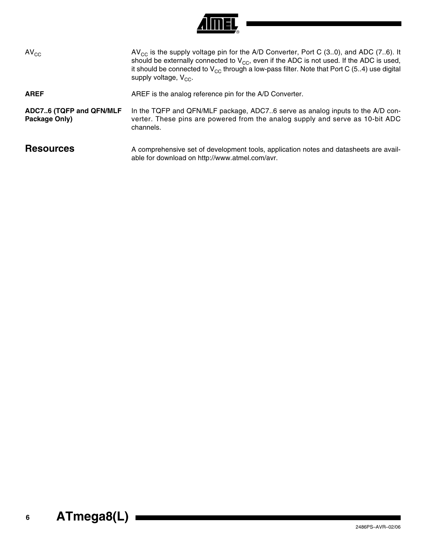

<span id="page-5-0"></span>

| $AV_{CC}$                                | $AV_{CC}$ is the supply voltage pin for the A/D Converter, Port C (30), and ADC (76). It<br>should be externally connected to $V_{CC}$ , even if the ADC is not used. If the ADC is used,<br>it should be connected to $V_{CC}$ through a low-pass filter. Note that Port C (54) use digital<br>supply voltage, $V_{CC}$ . |
|------------------------------------------|----------------------------------------------------------------------------------------------------------------------------------------------------------------------------------------------------------------------------------------------------------------------------------------------------------------------------|
| <b>AREF</b>                              | AREF is the analog reference pin for the A/D Converter.                                                                                                                                                                                                                                                                    |
| ADC76 (TQFP and QFN/MLF<br>Package Only) | In the TQFP and QFN/MLF package, ADC76 serve as analog inputs to the A/D con-<br>verter. These pins are powered from the analog supply and serve as 10-bit ADC<br>channels.                                                                                                                                                |
| <b>Resources</b>                         | A comprehensive set of development tools, application notes and datasheets are avail-<br>able for download on http://www.atmel.com/avr.                                                                                                                                                                                    |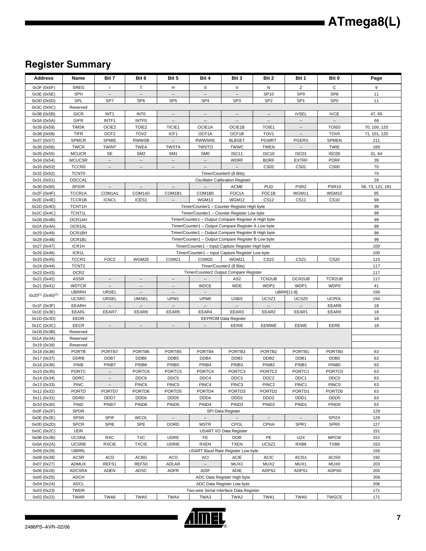# **Register Summary**

| <b>Address</b>                     | Name                         | Bit 7                        | Bit 6                                | Bit 5                                 | Bit 4                                                                                                       | Bit 3                                  | Bit 2                                 | Bit 1                    | Bit 0                                  | Page                |
|------------------------------------|------------------------------|------------------------------|--------------------------------------|---------------------------------------|-------------------------------------------------------------------------------------------------------------|----------------------------------------|---------------------------------------|--------------------------|----------------------------------------|---------------------|
| 0x3F (0x5F)                        | <b>SREG</b>                  | $\mathbf{I}$                 | T.                                   | H                                     | S                                                                                                           | V                                      | N                                     | Z                        | C                                      | 9                   |
| 0x3E (0x5E)                        | SPH                          | $\qquad \qquad -$            | $\overline{\phantom{a}}$             | $\qquad \qquad -$                     |                                                                                                             | $\overline{\phantom{0}}$               | SP10                                  | SP <sub>9</sub>          | SP <sub>8</sub>                        | 11                  |
| 0x3D (0x5D)                        | SPL                          | SP7                          | SP <sub>6</sub>                      | SP <sub>5</sub>                       | SP <sub>4</sub>                                                                                             | SP <sub>3</sub>                        | SP <sub>2</sub>                       | SP <sub>1</sub>          | SP <sub>0</sub>                        | 11                  |
| 0x3C (0x5C)                        | Reserved                     |                              |                                      |                                       |                                                                                                             |                                        |                                       |                          |                                        |                     |
| 0x3B (0x5B)                        | <b>GICR</b>                  | INT <sub>1</sub>             | <b>INTO</b>                          |                                       |                                                                                                             |                                        |                                       | <b>IVSEL</b>             | <b>IVCE</b>                            | 47, 65              |
| 0x3A (0x5A)                        | <b>GIFR</b>                  | INTF1                        | INTF <sub>0</sub>                    | $\overline{\phantom{a}}$              | $\overline{\phantom{m}}$                                                                                    | $\overline{\phantom{a}}$               | $\overline{\phantom{m}}$              | $\overline{\phantom{m}}$ | $\overline{\phantom{a}}$               | 66                  |
| 0x39 (0x59)                        | <b>TIMSK</b>                 | OCIE2                        | TOIE <sub>2</sub>                    | TICIE1                                | OCIE1A                                                                                                      | OCIE1B                                 | TOIE1                                 | $\equiv$                 | TOIE0                                  | 70, 100, 120        |
| 0x38 (0x58)<br>0x37 (0x57)         | <b>TIFR</b><br><b>SPMCR</b>  | OCF <sub>2</sub><br>SPMIE    | TOV <sub>2</sub><br><b>RWWSB</b>     | ICF1<br>$\overline{\phantom{a}}$      | OCF1A<br><b>RWWSRE</b>                                                                                      | OCF1B<br><b>BLBSET</b>                 | TOV <sub>1</sub><br><b>PGWRT</b>      | <b>PGERS</b>             | TOV <sub>0</sub><br><b>SPMEN</b>       | 71, 101, 120<br>211 |
| 0x36 (0x56)                        | <b>TWCR</b>                  | <b>TWINT</b>                 | <b>TWEA</b>                          | <b>TWSTA</b>                          | <b>TWSTO</b>                                                                                                | TWWC                                   | <b>TWEN</b>                           |                          | <b>TWIE</b>                            | 169                 |
| 0x35 (0x55)                        | <b>MCUCR</b>                 | SE                           | SM <sub>2</sub>                      | SM <sub>1</sub>                       | SM0                                                                                                         | ISC11                                  | <b>ISC10</b>                          | ISC01                    | ISC00                                  | 31,64               |
| 0x34 (0x54)                        | <b>MCUCSR</b>                | $\overline{\phantom{m}}$     | $\overline{\phantom{m}}$             | $\overline{\phantom{m}}$              |                                                                                                             | <b>WDRF</b>                            | <b>BORF</b>                           | <b>EXTRF</b>             | <b>PORF</b>                            | 39                  |
| 0x33 (0x53)                        | TCCR <sub>0</sub>            | $\equiv$                     | $\equiv$                             | $\equiv$                              | $\overline{\phantom{a}}$                                                                                    | $\overline{\phantom{0}}$               | <b>CS02</b>                           | <b>CS01</b>              | CS00                                   | 70                  |
| 0x32 (0x52)                        | TCNT <sub>0</sub>            |                              |                                      |                                       |                                                                                                             | Timer/Counter0 (8 Bits)                |                                       |                          |                                        | 70                  |
| 0x31 (0x51)                        | OSCCAL                       |                              |                                      |                                       |                                                                                                             | <b>Oscillator Calibration Register</b> |                                       |                          |                                        | 29                  |
| 0x30 (0x50)                        | <b>SFIOR</b>                 | $\overline{\phantom{a}}$     | $\overline{\phantom{a}}$             | $\overline{\phantom{0}}$              |                                                                                                             | <b>ACME</b>                            | <b>PUD</b>                            | PSR <sub>2</sub>         | PSR <sub>10</sub>                      | 56, 73, 121, 191    |
| 0x2F (0x4F)                        | TCCR1A                       | COM1A1                       | COM1A0                               | COM1B1                                | COM1B0                                                                                                      | FOC1A                                  | FOC1B                                 | WGM11                    | WGM10                                  | 95                  |
| 0x2E (0x4E)                        | TCCR1B                       | ICNC1                        | ICES1                                | $\overline{\phantom{a}}$              | WGM13                                                                                                       | WGM12                                  | <b>CS12</b>                           | <b>CS11</b>              | <b>CS10</b>                            | 98                  |
| 0x2D (0x4D)                        | TCNT1H                       |                              |                                      |                                       | Timer/Counter1 - Counter Register High byte                                                                 |                                        |                                       |                          |                                        | 99                  |
| 0x2C (0x4C)                        | TCNT1L                       |                              |                                      |                                       | Timer/Counter1 - Counter Register Low byte                                                                  |                                        |                                       |                          |                                        | 99                  |
| 0x2B (0x4B)<br>0x2A (0x4A)         | OCR1AH<br>OCR1AL             |                              |                                      |                                       | Timer/Counter1 - Output Compare Register A High byte<br>Timer/Counter1 - Output Compare Register A Low byte |                                        |                                       |                          |                                        | 99<br>99            |
| 0x29 (0x49)                        | OCR1BH                       |                              |                                      |                                       | Timer/Counter1 - Output Compare Register B High byte                                                        |                                        |                                       |                          |                                        | 99                  |
| 0x28 (0x48)                        | OCR1BL                       |                              |                                      |                                       | Timer/Counter1 - Output Compare Register B Low byte                                                         |                                        |                                       |                          |                                        | 99                  |
| 0x27 (0x47)                        | ICR1H                        |                              |                                      |                                       | Timer/Counter1 - Input Capture Register High byte                                                           |                                        |                                       |                          |                                        | 100                 |
| 0x26 (0x46)                        | ICR1L                        |                              |                                      |                                       | Timer/Counter1 - Input Capture Register Low byte                                                            |                                        |                                       |                          |                                        | 100                 |
| 0x25 (0x45)                        | TCCR <sub>2</sub>            | FOC <sub>2</sub>             | WGM20                                | COM21                                 | COM20                                                                                                       | <b>WGM21</b>                           | <b>CS22</b>                           | CS21                     | <b>CS20</b>                            | 115                 |
| 0x24 (0x44)                        | TCNT <sub>2</sub>            | Timer/Counter2 (8 Bits)      |                                      |                                       |                                                                                                             |                                        |                                       | 117                      |                                        |                     |
| 0x23 (0x43)                        | OCR <sub>2</sub>             |                              |                                      |                                       | Timer/Counter2 Output Compare Register                                                                      |                                        |                                       |                          |                                        | 117                 |
| 0x22 (0x42)                        | <b>ASSR</b>                  | $\overline{\phantom{a}}$     | $\overline{\phantom{m}}$             | $\qquad \qquad -$                     |                                                                                                             | AS <sub>2</sub>                        | TCN2UB                                | OCR2UB                   | TCR2UB                                 | 117                 |
| 0x21 (0x41)                        | <b>WDTCR</b>                 | $\overline{\phantom{a}}$     | $\overline{\phantom{m}}$<br>$\equiv$ | $\overline{\phantom{0}}$<br>$\equiv$  | <b>WDCE</b><br>$\equiv$                                                                                     | <b>WDE</b>                             | WDP2                                  | WDP1                     | WDP0                                   | 41                  |
| $0x20^{(1)}$ (0x40) <sup>(1)</sup> | <b>UBRRH</b><br><b>UCSRC</b> | <b>URSEL</b><br><b>URSEL</b> | <b>UMSEL</b>                         | UPM1                                  | UPM <sub>0</sub>                                                                                            | <b>USBS</b>                            | UCSZ1                                 | UBRR[11:8]<br>UCSZ0      | <b>UCPOL</b>                           | 156<br>154          |
| 0x1F(0x3F)                         | EEARH                        |                              |                                      |                                       |                                                                                                             |                                        |                                       |                          | EEAR8                                  | 18                  |
| 0x1E (0x3E)                        | EEARL                        | EEAR7                        | EEAR6                                | EEAR5                                 | EEAR4                                                                                                       | EEAR3                                  | EEAR2                                 | EEAR1                    | EEAR0                                  | 18                  |
| 0x1D (0x3D)                        | EEDR                         |                              |                                      |                                       |                                                                                                             | <b>EEPROM Data Register</b>            |                                       |                          |                                        | 18                  |
| 0x1C (0x3C)                        | <b>EECR</b>                  | $\overline{\phantom{a}}$     | $\equiv$                             | $\qquad \qquad -$                     | $\frac{1}{2}$                                                                                               | EERIE                                  | EEMWE                                 | EEWE                     | EERE                                   | 18                  |
| 0x1B (0x3B)                        | Reserved                     |                              |                                      |                                       |                                                                                                             |                                        |                                       |                          |                                        |                     |
| 0x1A (0x3A)                        | Reserved                     |                              |                                      |                                       |                                                                                                             |                                        |                                       |                          |                                        |                     |
| 0x19 (0x39)                        | Reserved                     |                              |                                      |                                       |                                                                                                             |                                        |                                       |                          |                                        |                     |
| 0x18 (0x38)<br>0x17 (0x37)         | <b>PORTB</b>                 | PORTB7                       | PORTB6                               | PORTB5                                | PORTB4<br>DDB4                                                                                              | PORTB3                                 | PORTB <sub>2</sub>                    | PORTB1<br>DDB1           | PORTB0                                 | 63<br>63            |
| 0x16 (0x36)                        | <b>DDRB</b><br><b>PINB</b>   | DDB7<br>PINB7                | DDB6<br>PINB <sub>6</sub>            | DDB <sub>5</sub><br>PINB <sub>5</sub> | PINB4                                                                                                       | DDB3<br>PINB <sub>3</sub>              | DDB <sub>2</sub><br>PINB <sub>2</sub> | PINB1                    | DDB <sub>0</sub><br>PINB <sub>0</sub>  | 63                  |
| 0x15 (0x35)                        | <b>PORTC</b>                 | $\overline{\phantom{0}}$     | PORTC6                               | PORTC5                                | PORTC4                                                                                                      | PORTC3                                 | PORTC2                                | PORTC1                   | PORTC0                                 | 63                  |
| 0x14 (0x34)                        | <b>DDRC</b>                  | $\overline{\phantom{a}}$     | DDC6                                 | DDC5                                  | DDC4                                                                                                        | DDC3                                   | DDC <sub>2</sub>                      | DDC1                     | DDC <sub>0</sub>                       | 63                  |
| 0x13 (0x33)                        | PINC                         |                              | PINC6                                | PINC5                                 | PINC4                                                                                                       | PINC3                                  | PINC2                                 | PINC1                    | <b>PINCO</b>                           | 63                  |
| 0x12 (0x32)                        | <b>PORTD</b>                 | PORTD7                       | PORTD6                               | PORTD5                                | PORTD4                                                                                                      | PORTD <sub>3</sub>                     | PORTD <sub>2</sub>                    | PORTD1                   | PORTD0                                 | 63                  |
| 0x11 (0x31)                        | <b>DDRD</b>                  | DDD7                         | DDD6                                 | DDD <sub>5</sub>                      | DDD4                                                                                                        | DDD3                                   | DDD <sub>2</sub>                      | DDD1                     | DDD <sub>0</sub>                       | 63                  |
| 0x10 (0x30)                        | <b>PIND</b>                  | PIND7                        | PIND <sub>6</sub>                    | PIND <sub>5</sub>                     | PIND4                                                                                                       | PIND <sub>3</sub>                      | PIND <sub>2</sub>                     | PIND <sub>1</sub>        | PIND <sub>0</sub>                      | 63                  |
| 0x0F (0x2F)                        | SPDR                         |                              |                                      |                                       |                                                                                                             | SPI Data Register                      |                                       |                          |                                        | 129                 |
| 0x0E(0x2E)                         | <b>SPSR</b>                  | <b>SPIF</b>                  | <b>WCOL</b><br>SPE                   | $\overline{\phantom{a}}$              |                                                                                                             | CPOL                                   | CPHA                                  | SPR1                     | SPI <sub>2</sub> X<br>SPR <sub>0</sub> | 129                 |
| 0x0D(0x2D)<br>0x0C(0x2C)           | <b>SPCR</b><br><b>UDR</b>    | SPIE                         |                                      | <b>DORD</b>                           | <b>MSTR</b>                                                                                                 | USART I/O Data Register                |                                       |                          |                                        | 127<br>151          |
| 0x0B(0x2B)                         | <b>UCSRA</b>                 | <b>RXC</b>                   | <b>TXC</b>                           | <b>UDRE</b>                           | FE.                                                                                                         | <b>DOR</b>                             | PE                                    | U <sub>2</sub> X         | <b>MPCM</b>                            | 152                 |
| 0x0A (0x2A)                        | <b>UCSRB</b>                 | <b>RXCIE</b>                 | <b>TXCIE</b>                         | <b>UDRIE</b>                          | <b>RXEN</b>                                                                                                 | <b>TXEN</b>                            | UCSZ2                                 | RXB8                     | TXB8                                   | 153                 |
| 0x09 (0x29)                        | <b>UBRRL</b>                 |                              |                                      |                                       | USART Baud Rate Register Low byte                                                                           |                                        |                                       |                          |                                        | 156                 |
| 0x08 (0x28)                        | <b>ACSR</b>                  | <b>ACD</b>                   | <b>ACBG</b>                          | <b>ACO</b>                            | ACI                                                                                                         | <b>ACIE</b>                            | <b>ACIC</b>                           | ACIS1                    | ACIS <sub>0</sub>                      | 192                 |
| 0x07 (0x27)                        | <b>ADMUX</b>                 | REFS1                        | REFS0                                | <b>ADLAR</b>                          | $\overline{\phantom{a}}$                                                                                    | MUX3                                   | MUX2                                  | MUX1                     | MUX0                                   | 203                 |
| 0x06 (0x26)                        | <b>ADCSRA</b>                | <b>ADEN</b>                  | <b>ADSC</b>                          | <b>ADFR</b>                           | ADIF                                                                                                        | ADIE                                   | ADPS2                                 | ADPS1                    | ADPS0                                  | 205                 |
| 0x05 (0x25)                        | <b>ADCH</b>                  |                              |                                      |                                       |                                                                                                             | ADC Data Register High byte            |                                       |                          |                                        | 206                 |
| 0x04 (0x24)                        | <b>ADCL</b>                  |                              |                                      |                                       |                                                                                                             | ADC Data Register Low byte             |                                       |                          |                                        | 206                 |
| 0x03 (0x23)<br>0x02 (0x22)         | TWDR<br><b>TWAR</b>          | TWA6                         | TWA5                                 | TWA4                                  | Two-wire Serial Interface Data Register<br>TWA3                                                             | TWA2                                   | TWA1                                  | TWA0                     | <b>TWGCE</b>                           | 171<br>171          |
|                                    |                              |                              |                                      |                                       |                                                                                                             |                                        |                                       |                          |                                        |                     |

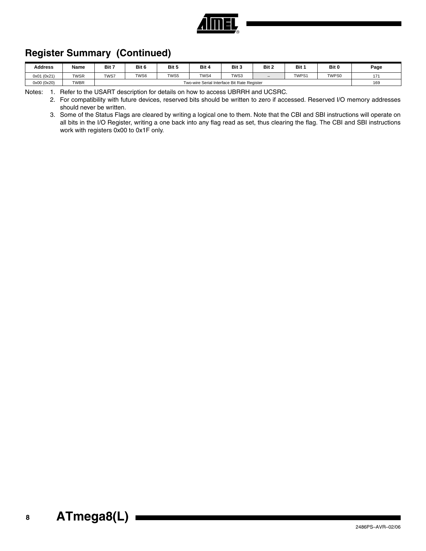

# **Register Summary (Continued)**

| <b>Address</b> | Name        | Bit 7                                       | Bit 6 | Bit 5 | Bit 4 | Bit 3 | Bit 2                    | Bit   | Bit 0 | Page |
|----------------|-------------|---------------------------------------------|-------|-------|-------|-------|--------------------------|-------|-------|------|
| 0x01 (0x21)    | <b>TWSR</b> | TWS7                                        | TWS6  | TWS5  | TWS4  | TWS3  | $\overline{\phantom{0}}$ | TWPS1 | TWPS0 | 474  |
| 0x00 (0x20)    | <b>TWBR</b> | Two-wire Serial Interface Bit Rate Register |       |       |       |       |                          |       | 169   |      |

Notes: 1. Refer to the USART description for details on how to access UBRRH and UCSRC.

2. For compatibility with future devices, reserved bits should be written to zero if accessed. Reserved I/O memory addresses should never be written.

3. Some of the Status Flags are cleared by writing a logical one to them. Note that the CBI and SBI instructions will operate on all bits in the I/O Register, writing a one back into any flag read as set, thus clearing the flag. The CBI and SBI instructions work with registers 0x00 to 0x1F only.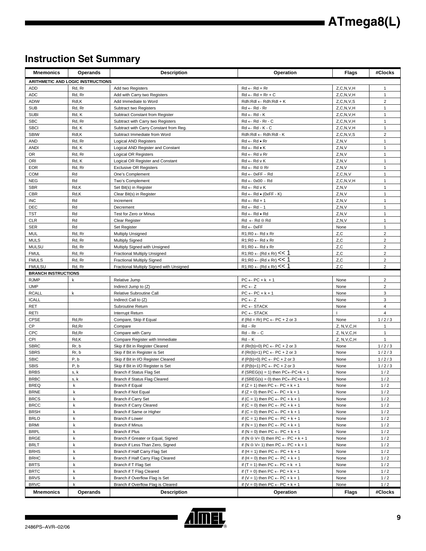# **Instruction Set Summary**

| <b>Mnemonics</b>                            | Operands                          | <b>Description</b>                       | Operation                                             | <b>Flags</b>  | #Clocks                 |
|---------------------------------------------|-----------------------------------|------------------------------------------|-------------------------------------------------------|---------------|-------------------------|
|                                             | ARITHMETIC AND LOGIC INSTRUCTIONS |                                          |                                                       |               |                         |
| ADD                                         | Rd, Rr                            | Add two Registers                        | $Rd \leftarrow Rd + Rr$                               | Z, C, N, V, H | $\mathbf{1}$            |
| <b>ADC</b>                                  | Rd, Rr                            | Add with Carry two Registers             | $Rd \leftarrow Rd + Rr + C$                           | Z, C, N, V, H | $\mathbf{1}$            |
| ADIW                                        | Rdl,K                             | Add Immediate to Word                    | Rdh:Rdl ← Rdh:Rdl + K                                 | Z, C, N, V, S | $\overline{c}$          |
| <b>SUB</b>                                  | Rd, Rr                            | Subtract two Registers                   | $Rd \leftarrow Rd$ - $Rr$                             | Z, C, N, V, H | $\mathbf{1}$            |
| <b>SUBI</b>                                 | Rd, K                             | Subtract Constant from Register          | $Rd \leftarrow Rd - K$                                | Z, C, N, V, H | $\mathbf{1}$            |
| <b>SBC</b>                                  | Rd, Rr                            | Subtract with Carry two Registers        | $Rd \leftarrow Rd - Rr - C$                           | Z, C, N, V, H | $\mathbf{1}$            |
| <b>SBCI</b>                                 | Rd, K                             | Subtract with Carry Constant from Reg.   | $Rd \leftarrow Rd - K - C$                            | Z, C, N, V, H | $\mathbf{1}$            |
| <b>SBIW</b>                                 | Rdl,K                             | Subtract Immediate from Word             | Rdh:Rdl ← Rdh:Rdl - K                                 | Z, C, N, V, S | $\overline{2}$          |
| <b>AND</b>                                  | Rd, Rr                            | <b>Logical AND Registers</b>             | $Rd \leftarrow Rd \bullet Rr$                         | Z, N, V       | $\mathbf{1}$            |
| <b>ANDI</b>                                 | Rd, K                             | Logical AND Register and Constant        | $Rd \leftarrow Rd \bullet K$                          | Z, N, V       | $\mathbf{1}$            |
| <b>OR</b>                                   | Rd, Rr                            | Logical OR Registers                     | $Rd \leftarrow Rd$ v $Rr$                             | Z, N, V       | $\mathbf{1}$            |
| ORI                                         | Rd, K                             | Logical OR Register and Constant         | $Rd \leftarrow Rd \vee K$                             | Z, N, V       | $\mathbf{1}$            |
| <b>EOR</b>                                  | Rd, Rr                            | <b>Exclusive OR Registers</b>            | $Rd \leftarrow Rd \oplus Rr$                          | Z, N, V       | $\mathbf{1}$            |
| COM                                         | Rd                                | One's Complement                         | $Rd \leftarrow 0xFF - Rd$                             | Z, C, N, V    | $\mathbf{1}$            |
| <b>NEG</b>                                  | Rd                                | Two's Complement                         | $Rd \leftarrow 0x00 - Rd$                             | Z, C, N, V, H | $\mathbf{1}$            |
| <b>SBR</b>                                  | Rd,K                              | Set Bit(s) in Register                   | $Rd \leftarrow Rd \vee K$                             | Z, N, V       | $\mathbf{1}$            |
| <b>CBR</b>                                  | Rd, K                             | Clear Bit(s) in Register                 | $Rd \leftarrow Rd \bullet (0xFF - K)$                 | Z, N, V       | $\mathbf{1}$            |
| <b>INC</b>                                  | Rd                                | Increment                                | $Rd \leftarrow Rd + 1$                                | Z, N, V       | $\mathbf{1}$            |
| DEC                                         | Rd                                | Decrement                                | $Rd \leftarrow Rd - 1$                                | Z, N, V       | $\mathbf{1}$            |
| <b>TST</b>                                  | Rd                                | Test for Zero or Minus                   | $Rd \leftarrow Rd \bullet Rd$                         | Z, N, V       | $\mathbf{1}$            |
| <b>CLR</b>                                  | Rd                                | Clear Register                           | $Rd \leftarrow Rd \oplus Rd$                          | Z, N, V       | $\mathbf{1}$            |
| <b>SER</b>                                  | Rd                                | Set Register                             | $Rd \leftarrow 0xFF$                                  | None          | $\mathbf{1}$            |
| MUL                                         | Rd, Rr                            | <b>Multiply Unsigned</b>                 | $R1:R0 \leftarrow Rd \times Rr$                       | Z, C          | $\overline{2}$          |
| <b>MULS</b>                                 | Rd, Rr                            | <b>Multiply Signed</b>                   | $R1:R0 \leftarrow Rd \times Rr$                       | Z,C           | $\overline{2}$          |
| <b>MULSU</b>                                | Rd, Rr                            | Multiply Signed with Unsigned            | $R1:R0 \leftarrow Rd \times Rr$                       | Z, C          | $\overline{2}$          |
| <b>FMUL</b>                                 | Rd, Rr                            | Fractional Multiply Unsigned             | $R1:R0 \leftarrow (Rd \times Rr) \leq 1$              | Z,C           | $\overline{2}$          |
| <b>FMULS</b>                                | Rd, Rr                            | <b>Fractional Multiply Signed</b>        | $R1:R0 \leftarrow (Rd \times Rr) \leq 1$              | Z, C          | $\overline{\mathbf{c}}$ |
| <b>FMULSU</b><br><b>BRANCH INSTRUCTIONS</b> | Rd, Rr                            | Fractional Multiply Signed with Unsigned | $R1:R0 \leftarrow (Rd \times Rr) \leq 1$              | Z, C          | $\overline{2}$          |
| <b>RJMP</b>                                 | k                                 | Relative Jump                            | $PC \leftarrow PC + k + 1$                            |               | $\overline{\mathbf{c}}$ |
| <b>IJMP</b>                                 |                                   | Indirect Jump to (Z)                     | $PC \leftarrow Z$                                     | None<br>None  | $\overline{2}$          |
| <b>RCALL</b>                                | k                                 | Relative Subroutine Call                 | $PC \leftarrow PC + k + 1$                            | None          | 3                       |
| <b>ICALL</b>                                |                                   | Indirect Call to (Z)                     | $PC \leftarrow Z$                                     | None          | 3                       |
| RET                                         |                                   | Subroutine Return                        | $PC \leftarrow$ STACK                                 | None          | 4                       |
| RETI                                        |                                   | Interrupt Return                         | $PC \leftarrow$ STACK                                 |               | $\overline{4}$          |
| CPSE                                        | Rd, Rr                            | Compare, Skip if Equal                   | if (Rd = Rr) PC $\leftarrow$ PC + 2 or 3              | None          | 1/2/3                   |
| СP                                          | Rd, Rr                            | Compare                                  | $Rd - Rr$                                             | Z, N, V, C, H | 1                       |
| CPC                                         | Rd, Rr                            | Compare with Carry                       | $Rd - Rr - C$                                         | Z, N, V, C, H | $\mathbf{1}$            |
| CPI                                         | Rd,K                              | Compare Register with Immediate          | $Rd - K$                                              | Z, N, V, C, H | $\mathbf{1}$            |
| <b>SBRC</b>                                 | Rr, b                             | Skip if Bit in Register Cleared          | if $(Rr(b)=0) PC \leftarrow PC + 2$ or 3              | None          | 1/2/3                   |
| <b>SBRS</b>                                 | Rr, b                             | Skip if Bit in Register is Set           | if $(Rr(b)=1) PC \leftarrow PC + 2$ or 3              | None          | 1/2/3                   |
| <b>SBIC</b>                                 | P, b                              | Skip if Bit in I/O Register Cleared      | if $(P(b)=0) PC \leftarrow PC + 2$ or 3               | None          | 1/2/3                   |
| <b>SBIS</b>                                 | P, b                              | Skip if Bit in I/O Register is Set       | if $(P(b)=1) PC \leftarrow PC + 2$ or 3               | None          | 1/2/3                   |
| <b>BRBS</b>                                 | s, k                              | Branch if Status Flag Set                | if $(SREG(s) = 1)$ then $PC \leftarrow PC + k + 1$    | None          | 1/2                     |
| <b>BRBC</b>                                 | s, k                              | Branch if Status Flag Cleared            | if $(SREG(s) = 0)$ then $PC \leftarrow PC + k + 1$    | None          | $1/2$                   |
| <b>BREQ</b>                                 | k                                 | Branch if Equal                          | if $(Z = 1)$ then PC $\leftarrow$ PC + k + 1          | None          | 1/2                     |
| <b>BRNE</b>                                 | k                                 | Branch if Not Equal                      | if $(Z = 0)$ then $PC \leftarrow PC + k + 1$          | None          | 1/2                     |
| <b>BRCS</b>                                 | k                                 | Branch if Carry Set                      | if $(C = 1)$ then $PC \leftarrow PC + k + 1$          | None          | 1/2                     |
| <b>BRCC</b>                                 | k                                 | <b>Branch if Carry Cleared</b>           | if $(C = 0)$ then $PC \leftarrow PC + k + 1$          | None          | 1/2                     |
| <b>BRSH</b>                                 | k                                 | Branch if Same or Higher                 | if $(C = 0)$ then $PC \leftarrow PC + k + 1$          | None          | 1/2                     |
| <b>BRLO</b>                                 | k                                 | Branch if Lower                          | if $(C = 1)$ then $PC \leftarrow PC + k + 1$          | None          | 1/2                     |
| <b>BRMI</b>                                 | k                                 | <b>Branch if Minus</b>                   | if $(N = 1)$ then PC $\leftarrow$ PC + k + 1          | None          | 1/2                     |
| <b>BRPL</b>                                 | k                                 | Branch if Plus                           | if $(N = 0)$ then $PC \leftarrow PC + k + 1$          | None          | 1/2                     |
| <b>BRGE</b>                                 | k                                 | Branch if Greater or Equal, Signed       | if $(N \oplus V = 0)$ then $PC \leftarrow PC + k + 1$ | None          | 1/2                     |
| <b>BRLT</b>                                 | k                                 | Branch if Less Than Zero, Signed         | if $(N \oplus V = 1)$ then $PC \leftarrow PC + k + 1$ | None          | 1/2                     |
| <b>BRHS</b>                                 | k                                 | Branch if Half Carry Flag Set            | if $(H = 1)$ then PC $\leftarrow$ PC + k + 1          | None          | 1/2                     |
| <b>BRHC</b>                                 | k                                 | Branch if Half Carry Flag Cleared        | if $(H = 0)$ then $PC \leftarrow PC + k + 1$          | None          | 1/2                     |
| <b>BRTS</b>                                 | k                                 | Branch if T Flag Set                     | if $(T = 1)$ then PC $\leftarrow$ PC + k + 1          | None          | 1/2                     |
| <b>BRTC</b>                                 | k                                 | Branch if T Flag Cleared                 | if $(T = 0)$ then PC $\leftarrow$ PC + k + 1          | None          | 1/2                     |
| <b>BRVS</b>                                 | k                                 | Branch if Overflow Flag is Set           | if $(V = 1)$ then $PC \leftarrow PC + k + 1$          | None          | 1/2                     |
| <b>BRVC</b>                                 | $\mathbf k$                       | Branch if Overflow Flag is Cleared       | if (V = 0) then $PC \leftarrow PC + k + 1$            | None          | 1/2                     |
| <b>Mnemonics</b>                            | <b>Operands</b>                   | <b>Description</b>                       | Operation                                             | Flags         | #Clocks                 |

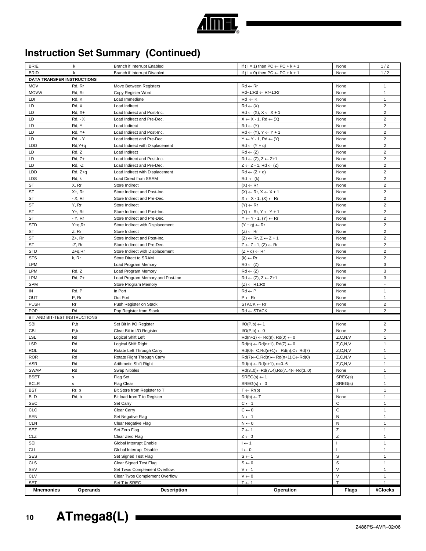

| <b>Mnemonics</b>                  | <b>Operands</b>    | <b>Description</b>                                        | Operation                                                                           | <b>Flags</b>   | #Clocks                          |
|-----------------------------------|--------------------|-----------------------------------------------------------|-------------------------------------------------------------------------------------|----------------|----------------------------------|
| <b>SET</b>                        |                    | Set T in SREG                                             | $T \leftarrow 1$                                                                    | $\mathsf{T}$   | $\mathbf{1}$                     |
| <b>CLV</b>                        |                    | Clear Twos Complement Overflow                            | $0 \rightarrow V$                                                                   | $\vee$         | $\mathbf{1}$                     |
| SEV                               |                    | Set Twos Complement Overflow.                             | $V \leftarrow 1$                                                                    | $\vee$         | $\mathbf{1}$                     |
| <b>CLS</b>                        |                    | Clear Signed Test Flag                                    | $S \leftarrow 0$                                                                    | S              | $\mathbf{1}$                     |
| SES                               |                    | Set Signed Test Flag                                      | $S \leftarrow 1$                                                                    | $\mathbb S$    | $\mathbf{1}$                     |
| <b>CLI</b>                        |                    | Global Interrupt Disable                                  | $I \leftarrow 0$                                                                    | $\overline{1}$ | $\mathbf{1}$                     |
| SEI                               |                    | Global Interrupt Enable                                   | $l \leftarrow 1$                                                                    | $\overline{1}$ | $\mathbf{1}$                     |
| CLZ                               |                    | Clear Zero Flag                                           | $Z \leftarrow 0$                                                                    | $\overline{z}$ | $\mathbf{1}$                     |
| SEZ                               |                    | Set Zero Flag                                             | $Z \leftarrow 1$                                                                    | $\mathsf Z$    | $\mathbf{1}$                     |
| <b>CLN</b>                        |                    | Clear Negative Flag                                       | $N \leftarrow 0$                                                                    | $\mathsf{N}$   | $\mathbf{1}$                     |
| <b>SEN</b>                        |                    | Set Negative Flag                                         | $N \leftarrow 1$                                                                    | ${\sf N}$      | $\mathbf{1}$                     |
| <b>CLC</b>                        |                    | Clear Carry                                               | $C \leftarrow 0$                                                                    | $\mathtt{C}$   | $\mathbf{1}$                     |
| <b>SEC</b>                        |                    | Set Carry                                                 | $C \leftarrow 1$                                                                    | $\mathsf C$    | $\mathbf{1}$                     |
| <b>BLD</b>                        | Rd, b              | Bit load from T to Register                               | $Rd(b) \leftarrow T$                                                                | None           | $\mathbf{1}$                     |
| <b>BST</b>                        | Rr, b              | Bit Store from Register to T                              | $T \leftarrow Rr(b)$                                                                | T              | $\mathbf{1}$                     |
| <b>BCLR</b>                       | s.                 | Flag Clear                                                | $SREG(s) \leftarrow 0$                                                              | SREG(s)        |                                  |
| <b>BSET</b>                       | s                  | Flag Set                                                  | $SREG(s) \leftarrow 1$                                                              | SREG(s)        | $\mathbf{1}$                     |
| <b>SWAP</b>                       | Rd                 | Swap Nibbles                                              | $Rd(30) \leftarrow Rd(74), Rd(74) \leftarrow Rd(30)$                                | None           | $\mathbf{1}$                     |
| ASR                               | Rd                 | Arithmetic Shift Right                                    | $Rd(n) \leftarrow Rd(n+1), n=06$                                                    | Z, C, N, V     | $\mathbf{1}$                     |
| <b>ROR</b>                        | Rd                 | Rotate Right Through Carry                                | $Rd(7) \leftarrow C, Rd(n) \leftarrow Rd(n+1), C \leftarrow Rd(0)$                  | Z, C, N, V     | $\mathbf{1}$                     |
| <b>ROL</b>                        | Rd                 | Rotate Left Through Carry                                 | $Rd(0) \leftarrow C, Rd(n+1) \leftarrow Rd(n), C \leftarrow Rd(7)$                  | Z, C, N, V     | $\mathbf{1}$                     |
| LSR                               | Rd                 | Logical Shift Right                                       | $Rd(n) \leftarrow Rd(n+1), Rd(7) \leftarrow 0$                                      | Z, C, N, V     | $\mathbf{1}$                     |
| LSL                               | Rd                 | Logical Shift Left                                        | $Rd(n+1) \leftarrow Rd(n), Rd(0) \leftarrow 0$                                      | Z, C, N, V     | $\mathbf{1}$                     |
| <b>CBI</b>                        | P,b                | Clear Bit in I/O Register                                 | $I/O(P,b) \leftarrow 0$                                                             | None           | $\overline{2}$                   |
| <b>SBI</b>                        | P,b                | Set Bit in I/O Register                                   | $I/O(P,b) \leftarrow 1$                                                             | None           | $\overline{2}$                   |
| BIT AND BIT-TEST INSTRUCTIONS     |                    |                                                           |                                                                                     |                |                                  |
| POP                               | Rd                 | Pop Register from Stack                                   | $Rd \leftarrow$ STACK                                                               | None           | $\overline{2}$                   |
| <b>PUSH</b>                       | Rr                 | Push Register on Stack                                    | $STACK \leftarrow Rr$                                                               | None           | $\overline{2}$                   |
| OUT                               | P, Rr              | Out Port                                                  | $P \leftarrow Rr$                                                                   | None           | $\mathbf{1}$                     |
| IN                                | Rd, P              | In Port                                                   | $Rd \leftarrow P$                                                                   | None           | $\mathbf{1}$                     |
| <b>SPM</b>                        |                    | Store Program Memory                                      | $(Z) \leftarrow R1:R0$                                                              | None           | $\blacksquare$                   |
| <b>LPM</b>                        | $Rd, Z+$           | Load Program Memory and Post-Inc                          | $Rd \leftarrow (Z), Z \leftarrow Z+1$                                               | None           | 3                                |
| LPM                               | Rd, Z              | Load Program Memory                                       | $Rd \leftarrow (Z)$                                                                 | None           | 3                                |
| LPM                               |                    | Load Program Memory                                       | $R0 \leftarrow (Z)$                                                                 | None           | 3                                |
| <b>STS</b>                        | k, Rr              | Store Direct to SRAM                                      | $(k) \leftarrow Rr$                                                                 | None           | $\overline{2}$                   |
| <b>STD</b>                        | Z+q,Rr             | Store Indirect with Displacement                          | $(Z + q) \leftarrow Rr$                                                             | None           | $\overline{2}$                   |
| <b>ST</b>                         | $-Z$ , $Rr$        | Store Indirect and Pre-Dec.                               | $Z \leftarrow Z - 1$ , $(Z) \leftarrow Rr$                                          | None           | 2                                |
| <b>ST</b>                         | $Z+$ , Rr          | Store Indirect and Post-Inc.                              | $(Z) \leftarrow \mathsf{Rr}, Z \leftarrow Z + 1$                                    | None           | $\overline{2}$                   |
| ST                                | Z, Rr              | Store Indirect                                            | $(Z) \leftarrow Rr$                                                                 | None           | $\overline{2}$                   |
| <b>STD</b>                        | Y+q,Rr             | Store Indirect with Displacement                          | $(Y + q) \leftarrow Rr$                                                             | None           | $\overline{2}$                   |
| <b>ST</b>                         | - Y, Rr            | Store Indirect and Pre-Dec.                               | $Y \leftarrow Y - 1$ , $(Y) \leftarrow Rr$                                          | None           | $\overline{2}$                   |
| <b>ST</b>                         | $Y + Rr$           | Store Indirect and Post-Inc.                              | $(Y) \leftarrow Rr, Y \leftarrow Y + 1$                                             | None           | $\overline{2}$                   |
| ST                                | Y, Rr              | Store Indirect                                            | $(Y) \leftarrow Rr$                                                                 | None           | 2                                |
| <b>ST</b>                         | $- X$ , Rr         | Store Indirect and Pre-Dec.                               | $X \leftarrow X - 1$ , $(X) \leftarrow Rr$                                          | None           | $\overline{2}$                   |
| ST                                | X+, Rr             | Store Indirect and Post-Inc.                              | $(X) \leftarrow \mathsf{Rr}, X \leftarrow X + 1$                                    | None           | $\overline{2}$                   |
| ST                                | X, Rr              | Store Indirect                                            | $(X) \leftarrow Rr$                                                                 | None           | $\overline{2}$                   |
| <b>LDS</b>                        | Rd, k              | Load Direct from SRAM                                     | $Rd \leftarrow (k)$                                                                 | None           | $\overline{2}$                   |
| LDD                               | Rd, Z+q            | Load Indirect with Displacement                           | $Rd \leftarrow (Z + q)$                                                             | None           | $\overline{2}$                   |
| LD                                | $Rd, Z+$<br>Rd, -Z | Load Indirect and Post-Inc.<br>Load Indirect and Pre-Dec. | $Rd \leftarrow (Z), Z \leftarrow Z+1$<br>$Z \leftarrow Z - 1$ , Rd $\leftarrow (Z)$ | None<br>None   | $\overline{2}$                   |
| LD                                |                    |                                                           |                                                                                     | None           | $\overline{2}$                   |
| LD                                | Rd, Y+q<br>Rd, Z   | Load Indirect with Displacement<br>Load Indirect          | $Rd \leftarrow (Y + q)$<br>$Rd \leftarrow (Z)$                                      | None           | $\overline{c}$                   |
| LD<br>LDD                         | <b>Rd, - Y</b>     | Load Indirect and Pre-Dec.                                | $Y \leftarrow Y - 1$ , Rd $\leftarrow (Y)$                                          | None           | $\overline{2}$<br>$\overline{2}$ |
| LD                                | Rd, Y+             | Load Indirect and Post-Inc.                               | $Rd \leftarrow (Y), Y \leftarrow Y + 1$                                             | None           | $\overline{2}$                   |
| LD                                | Rd, Y              | Load Indirect                                             | $Rd \leftarrow (Y)$                                                                 | None           | 2                                |
| LD                                | $Rd, -X$           | Load Indirect and Pre-Dec.                                | $X \leftarrow X - 1$ , Rd $\leftarrow (X)$                                          | None           | $\overline{2}$                   |
| LD                                | $Rd, X+$           | Load Indirect and Post-Inc.                               | $Rd \leftarrow (X), X \leftarrow X + 1$                                             | None           | $\overline{2}$                   |
| LD                                | Rd, X              | Load Indirect                                             | $Rd \leftarrow (X)$                                                                 | None           | $\overline{2}$                   |
| LDI                               | Rd, K              | Load Immediate                                            | $Rd \leftarrow K$                                                                   | None           | $\mathbf{1}$                     |
| <b>MOVW</b>                       | Rd, Rr             | Copy Register Word                                        | Rd+1:Rd ← Rr+1:Rr                                                                   | None           | $\mathbf{1}$                     |
| <b>MOV</b>                        | Rd, Rr             | Move Between Registers                                    | $Rd \leftarrow Rr$                                                                  | None           | $\mathbf{1}$                     |
| <b>DATA TRANSFER INSTRUCTIONS</b> |                    |                                                           |                                                                                     |                |                                  |
| <b>BRID</b>                       | k                  | Branch if Interrupt Disabled                              | if ( $1 = 0$ ) then PC $\leftarrow$ PC + k + 1                                      | None           | 1/2                              |

# **Instruction Set Summary (Continued)**



BRIE k Branch if Interrupt Enabled if ( I = 1) then PC ← PC + k + 1 None 1/2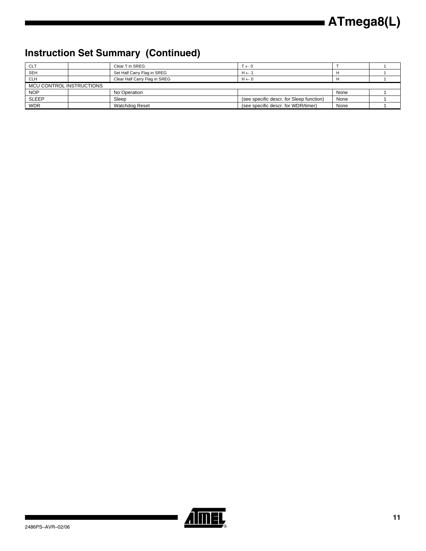# **Instruction Set Summary (Continued)**

| <b>CLT</b>   |                          | Clear T in SREG               | $T \leftarrow 0$                         |      |  |  |  |
|--------------|--------------------------|-------------------------------|------------------------------------------|------|--|--|--|
| <b>SEH</b>   |                          | Set Half Carry Flag in SREG   | $H \leftarrow 1$                         |      |  |  |  |
| <b>CLH</b>   |                          | Clear Half Carry Flag in SREG | $H \leftarrow 0$                         |      |  |  |  |
|              | MCU CONTROL INSTRUCTIONS |                               |                                          |      |  |  |  |
| <b>NOP</b>   |                          | No Operation                  |                                          | None |  |  |  |
| <b>SLEEP</b> |                          | Sleep                         | (see specific descr. for Sleep function) | None |  |  |  |
| <b>WDR</b>   |                          | Watchdog Reset                | (see specific descr. for WDR/timer)      | None |  |  |  |



▊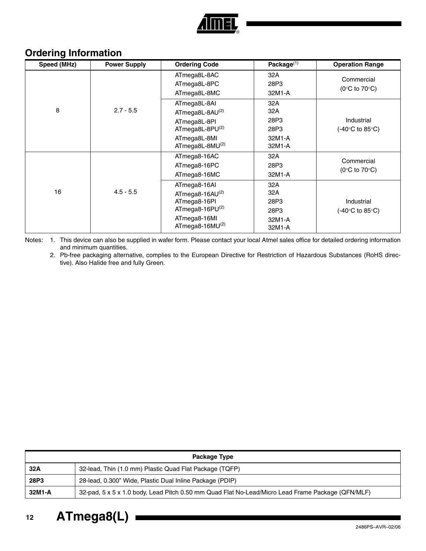

# <span id="page-11-2"></span>**Ordering Information**

| Speed (MHz) | <b>Power Supply</b> | <b>Ordering Code</b>                                                                                              | Package <sup>(1)</sup>                         | <b>Operation Range</b>                          |
|-------------|---------------------|-------------------------------------------------------------------------------------------------------------------|------------------------------------------------|-------------------------------------------------|
|             |                     | ATmega8L-8AC<br>ATmega8L-8PC<br>ATmega8L-8MC                                                                      | 32A<br>28P3<br>32M1-A                          | Commercial<br>(0 $\degree$ C to 70 $\degree$ C) |
| 8           | $2.7 - 5.5$         | ATmega8L-8AI<br>ATmega8L-8AU(2)<br>ATmega8L-8PI<br>ATmega8L-8PU $(2)$<br>ATmega8L-8MI<br>ATmega8L-8MU(2)          | 32A<br>32A<br>28P3<br>28P3<br>32M1-A<br>32M1-A | Industrial<br>(-40°C to 85°C)                   |
|             |                     | ATmega8-16AC<br>ATmega8-16PC<br>ATmega8-16MC                                                                      | 32A<br>28P3<br>32M1-A                          | Commercial<br>(0 $\degree$ C to 70 $\degree$ C) |
| 16          | $4.5 - 5.5$         | ATmega8-16AI<br>ATmega8-16AU(2)<br>ATmega8-16PI<br>ATmega8-16 $PU^{(2)}$<br>ATmega8-16MI<br>ATmega8-16M $U^{(2)}$ | 32A<br>32A<br>28P3<br>28P3<br>32M1-A<br>32M1-A | Industrial<br>(-40°C to 85°C).                  |

<span id="page-11-1"></span><span id="page-11-0"></span>Notes: 1. This device can also be supplied in wafer form. Please contact your local Atmel sales office for detailed ordering information and minimum quantities.

2. Pb-free packaging alternative, complies to the European Directive for Restriction of Hazardous Substances (RoHS directive). Also Halide free and fully Green.

| Package Type |                                                                                                   |  |  |  |  |
|--------------|---------------------------------------------------------------------------------------------------|--|--|--|--|
| 32A          | 32-lead, Thin (1.0 mm) Plastic Quad Flat Package (TQFP)                                           |  |  |  |  |
| 28P3         | 28-lead, 0.300" Wide, Plastic Dual Inline Package (PDIP)                                          |  |  |  |  |
| 32M1-A       | 32-pad, 5 x 5 x 1.0 body, Lead Pitch 0.50 mm Quad Flat No-Lead/Micro Lead Frame Package (QFN/MLF) |  |  |  |  |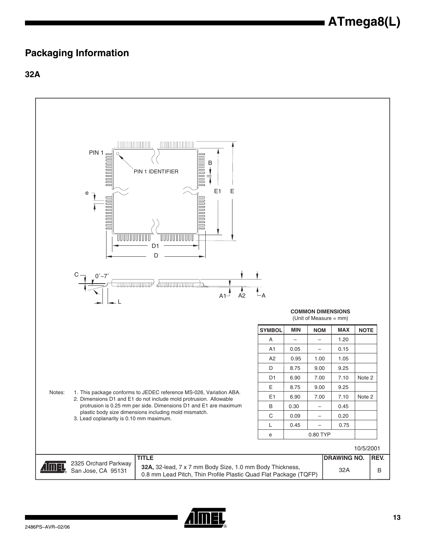# <span id="page-12-0"></span>**Packaging Information**

**32A**



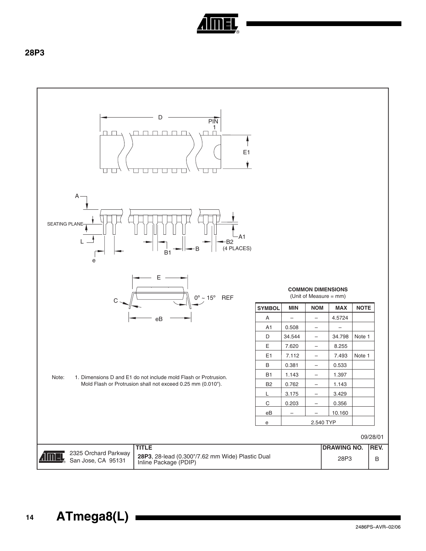

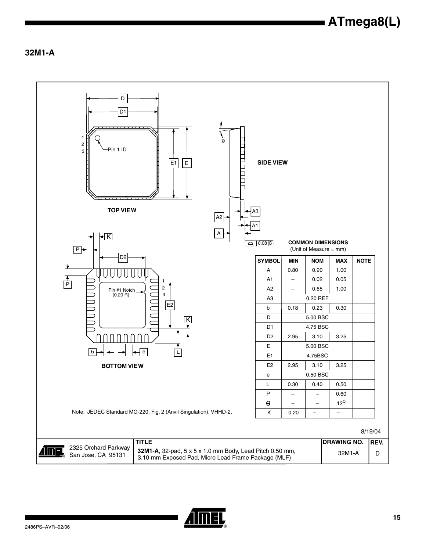**32M1-A**

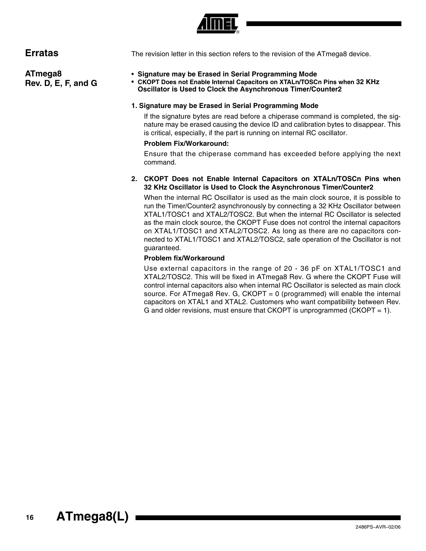

<span id="page-15-1"></span>**ATmega8** 

**Rev. D, E, F, and G**

<span id="page-15-0"></span>**Erratas** The revision letter in this section refers to the revision of the ATmega8 device.

# • **Signature may be Erased in Serial Programming Mode**

• **CKOPT Does not Enable Internal Capacitors on XTALn/TOSCn Pins when 32 KHz Oscillator is Used to Clock the Asynchronous Timer/Counter2**

#### **1. Signature may be Erased in Serial Programming Mode**

If the signature bytes are read before a chiperase command is completed, the signature may be erased causing the device ID and calibration bytes to disappear. This is critical, especially, if the part is running on internal RC oscillator.

#### **Problem Fix/Workaround:**

Ensure that the chiperase command has exceeded before applying the next command.

#### **2. CKOPT Does not Enable Internal Capacitors on XTALn/TOSCn Pins when 32 KHz Oscillator is Used to Clock the Asynchronous Timer/Counter2**

When the internal RC Oscillator is used as the main clock source, it is possible to run the Timer/Counter2 asynchronously by connecting a 32 KHz Oscillator between XTAL1/TOSC1 and XTAL2/TOSC2. But when the internal RC Oscillator is selected as the main clock source, the CKOPT Fuse does not control the internal capacitors on XTAL1/TOSC1 and XTAL2/TOSC2. As long as there are no capacitors connected to XTAL1/TOSC1 and XTAL2/TOSC2, safe operation of the Oscillator is not guaranteed.

# **Problem fix/Workaround**

Use external capacitors in the range of 20 - 36 pF on XTAL1/TOSC1 and XTAL2/TOSC2. This will be fixed in ATmega8 Rev. G where the CKOPT Fuse will control internal capacitors also when internal RC Oscillator is selected as main clock source. For ATmega8 Rev. G, CKOPT = 0 (programmed) will enable the internal capacitors on XTAL1 and XTAL2. Customers who want compatibility between Rev. G and older revisions, must ensure that CKOPT is unprogrammed (CKOPT  $= 1$ ).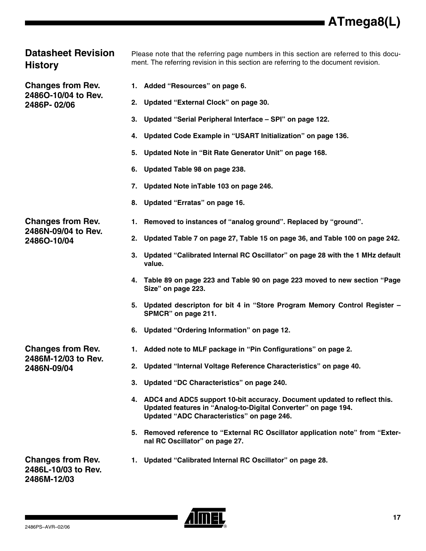# **Datasheet Revision History**

**Changes from Rev. 2486O-10/04 to Rev. 2486P- 02/06**

Please note that the referring page numbers in this section are referred to this document. The referring revision in this section are referring to the document revision.

- **1. Added ["Resources" on page 6](#page-5-0).**
- **2. Updated "External Clock" on page 30.**
- **3. Updated "Serial Peripheral Interface SPI" on page 122.**
- **4. Updated Code Example in "USART Initialization" on page 136.**
- **5. Updated Note in "Bit Rate Generator Unit" on page 168.**
- **6. Updated Table 98 on page 238.**
- **7. Updated Note inTable 103 on page 246.**
- **8. Updated ["Erratas" on page 16](#page-15-0).**

# **Changes from Rev. 2486N-09/04 to Rev. 2486O-10/04**

**2. Updated Table 7 on page 27, Table 15 on page 36, and Table 100 on page 242.**

**1. Removed to instances of "analog ground". Replaced by "ground".**

- **3. Updated "Calibrated Internal RC Oscillator" on page 28 with the 1 MHz default value.**
- **4. Table 89 on page 223 and Table 90 on page 223 moved to new section "Page Size" on page 223.**
- **5. Updated descripton for bit 4 in "Store Program Memory Control Register – SPMCR" on page 211.**
- **6. Updated ["Ordering Information" on page 12.](#page-11-2)**
- **1. Added note to MLF package in ["Pin Configurations" on page 2.](#page-1-0)**
- **2. Updated "Internal Voltage Reference Characteristics" on page 40.**
- **3. Updated "DC Characteristics" on page 240.**
- **4. ADC4 and ADC5 support 10-bit accuracy. Document updated to reflect this. Updated features in "Analog-to-Digital Converter" on page 194. Updated "ADC Characteristics" on page 246.**
- **5. Removed reference to "External RC Oscillator application note" from "External RC Oscillator" on page 27.**
- **1. Updated "Calibrated Internal RC Oscillator" on page 28.**

**Changes from Rev. 2486L-10/03 to Rev. 2486M-12/03**

**Changes from Rev. 2486M-12/03 to Rev.** 

**2486N-09/04**

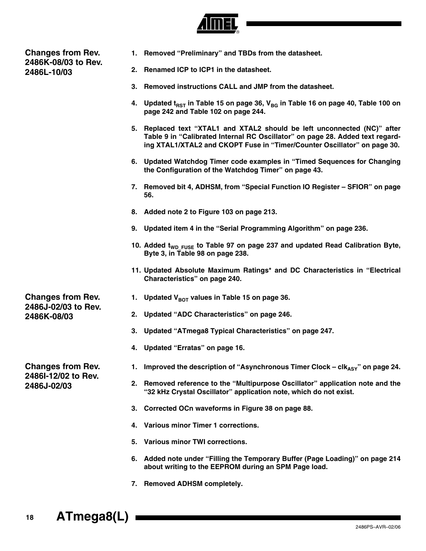

**Changes from Rev. 2486K-08/03 to Rev. 2486L-10/03**

- **1. Removed "Preliminary" and TBDs from the datasheet.**
- **2. Renamed ICP to ICP1 in the datasheet.**
- **3. Removed instructions CALL and JMP from the datasheet.**
- 4. Updated t<sub>RST</sub> in Table 15 on page 36, V<sub>BG</sub> in Table 16 on page 40, Table 100 on **page 242 and Table 102 on page 244.**
- **5. Replaced text "XTAL1 and XTAL2 should be left unconnected (NC)" after Table 9 in "Calibrated Internal RC Oscillator" on page 28. Added text regarding XTAL1/XTAL2 and CKOPT Fuse in "Timer/Counter Oscillator" on page 30.**
- **6. Updated Watchdog Timer code examples in "Timed Sequences for Changing the Configuration of the Watchdog Timer" on page 43.**
- **7. Removed bit 4, ADHSM, from "Special Function IO Register SFIOR" on page 56.**
- **8. Added note 2 to Figure 103 on page 213.**
- **9. Updated item 4 in the "Serial Programming Algorithm" on page 236.**
- 10. Added t<sub>WD\_FUSE</sub> to Table 97 on page 237 and updated Read Calibration Byte, **Byte 3, in Table 98 on page 238.**
- **11. Updated Absolute Maximum Ratings\* and DC Characteristics in "Electrical Characteristics" on page 240.**
- 1. Updated V<sub>BOT</sub> values in Table 15 on page 36.
- **2. Updated "ADC Characteristics" on page 246.**
- **3. Updated "ATmega8 Typical Characteristics" on page 247.**
- **4. Updated ["Erratas" on page 16](#page-15-0).**
- **1.** Improved the description of "Asynchronous Timer Clock  $\text{clk}_{\text{AsY}}$ " on page 24.
- **2. Removed reference to the "Multipurpose Oscillator" application note and the "32 kHz Crystal Oscillator" application note, which do not exist.**
- **3. Corrected OCn waveforms in Figure 38 on page 88.**
- **4. Various minor Timer 1 corrections.**
- **5. Various minor TWI corrections.**
- **6. Added note under "Filling the Temporary Buffer (Page Loading)" on page 214 about writing to the EEPROM during an SPM Page load.**
- **7. Removed ADHSM completely.**

**Changes from Rev. 2486J-02/03 to Rev. 2486K-08/03**

**Changes from Rev. 2486I-12/02 to Rev. 2486J-02/03**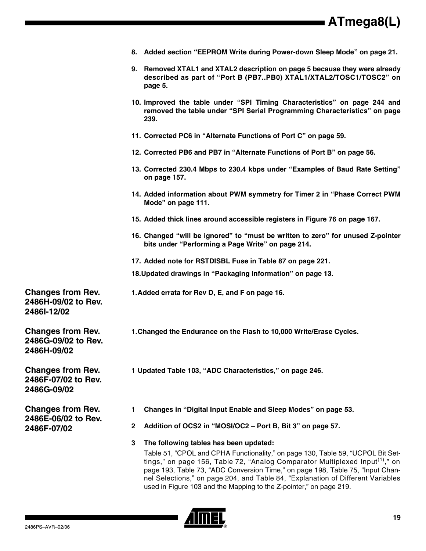|  |  |  |  |  | 8. Added section "EEPROM Write during Power-down Sleep Mode" on page 21. |
|--|--|--|--|--|--------------------------------------------------------------------------|
|--|--|--|--|--|--------------------------------------------------------------------------|

- **9. Removed XTAL1 and XTAL2 description on [page 5](#page-4-0) because they were already described as part of ["Port B \(PB7..PB0\) XTAL1/XTAL2/TOSC1/TOSC2" on](#page-4-0) [page 5.](#page-4-0)**
- **10. Improved the table under "SPI Timing Characteristics" on page 244 and removed the table under "SPI Serial Programming Characteristics" on page 239.**
- **11. Corrected PC6 in "Alternate Functions of Port C" on page 59.**
- **12. Corrected PB6 and PB7 in "Alternate Functions of Port B" on page 56.**
- **13. Corrected 230.4 Mbps to 230.4 kbps under "Examples of Baud Rate Setting" on page 157.**
- **14. Added information about PWM symmetry for Timer 2 in "Phase Correct PWM Mode" on page 111.**
- **15. Added thick lines around accessible registers in Figure 76 on page 167.**
- **16. Changed "will be ignored" to "must be written to zero" for unused Z-pointer bits under "Performing a Page Write" on page 214.**
- **17. Added note for RSTDISBL Fuse in Table 87 on page 221.**
- **18.Updated drawings in ["Packaging Information" on page 13.](#page-12-0)**
- **1.Added errata for Rev D, E, and F on [page 16](#page-15-1).**

**Changes from Rev. 2486H-09/02 to Rev. 2486I-12/02**

**Changes from Rev. 2486G-09/02 to Rev. 2486H-09/02**

**Changes from Rev. 2486F-07/02 to Rev. 2486G-09/02**

**Changes from Rev. 2486E-06/02 to Rev. 2486F-07/02**

- **1.Changed the Endurance on the Flash to 10,000 Write/Erase Cycles.**
- **1 Updated Table 103, "ADC Characteristics," on page 246.**
- **1 Changes in "Digital Input Enable and Sleep Modes" on page 53.**
- **2 Addition of OCS2 in "MOSI/OC2 Port B, Bit 3" on page 57.**
- **3 The following tables has been updated:**

Table 51, "CPOL and CPHA Functionality," on page 130, Table 59, "UCPOL Bit Settings," on page 156, Table 72, "Analog Comparator Multiplexed Input<sup>(1)</sup>," on page 193, Table 73, "ADC Conversion Time," on page 198, Table 75, "Input Channel Selections," on page 204, and Table 84, "Explanation of Different Variables used in Figure 103 and the Mapping to the Z-pointer," on page 219.

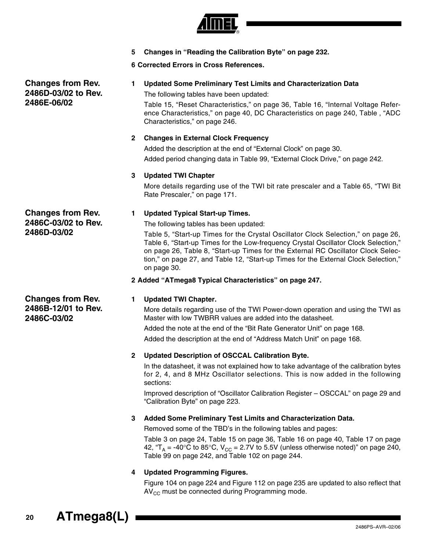

**5 Changes in "Reading the Calibration Byte" on page 232.**

# **6 Corrected Errors in Cross References.**

**Changes from Rev. 2486D-03/02 to Rev. 2486E-06/02**

**1 Updated Some Preliminary Test Limits and Characterization Data**

The following tables have been updated:

Table 15, "Reset Characteristics," on page 36, Table 16, "Internal Voltage Reference Characteristics," on page 40, DC Characteristics on page 240, Table , "ADC Characteristics," on page 246.

# **2 Changes in External Clock Frequency**

Added the description at the end of "External Clock" on page 30. Added period changing data in Table 99, "External Clock Drive," on page 242.

# **3 Updated TWI Chapter**

More details regarding use of the TWI bit rate prescaler and a Table 65, "TWI Bit Rate Prescaler," on page 171.

# **1 Updated Typical Start-up Times.**

The following tables has been updated:

Table 5, "Start-up Times for the Crystal Oscillator Clock Selection," on page 26, Table 6, "Start-up Times for the Low-frequency Crystal Oscillator Clock Selection," on page 26, Table 8, "Start-up Times for the External RC Oscillator Clock Selection," on page 27, and Table 12, "Start-up Times for the External Clock Selection," on page 30.

# **2 Added "ATmega8 Typical Characteristics" on page 247.**

**Changes from Rev. 2486B-12/01 to Rev. 2486C-03/02**

**Changes from Rev. 2486C-03/02 to Rev.** 

**2486D-03/02**

#### **1 Updated TWI Chapter.**

More details regarding use of the TWI Power-down operation and using the TWI as Master with low TWBRR values are added into the datasheet.

Added the note at the end of the "Bit Rate Generator Unit" on page 168.

Added the description at the end of "Address Match Unit" on page 168.

# **2 Updated Description of OSCCAL Calibration Byte.**

In the datasheet, it was not explained how to take advantage of the calibration bytes for 2, 4, and 8 MHz Oscillator selections. This is now added in the following sections:

Improved description of "Oscillator Calibration Register – OSCCAL" on page 29 and "Calibration Byte" on page 223.

# **3 Added Some Preliminary Test Limits and Characterization Data.**

Removed some of the TBD's in the following tables and pages:

Table 3 on page 24, Table 15 on page 36, Table 16 on page 40, Table 17 on page 42, " $T_A$  = -40°C to 85°C,  $V_{CC}$  = 2.7V to 5.5V (unless otherwise noted)" on page 240, Table 99 on page 242, and Table 102 on page 244.

# **4 Updated Programming Figures.**

Figure 104 on page 224 and Figure 112 on page 235 are updated to also reflect that  $AV_{CC}$  must be connected during Programming mode.

**<sup>20</sup> ATmega8(L)**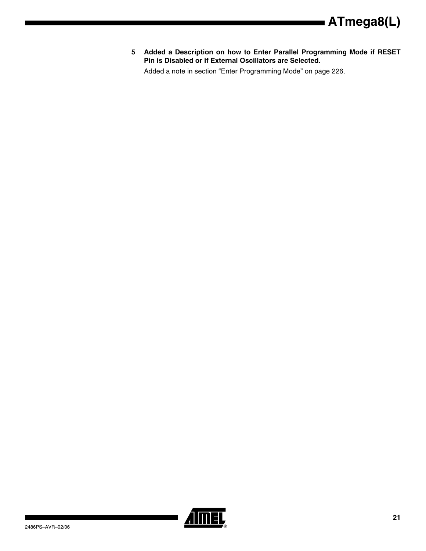**5 Added a Description on how to Enter Parallel Programming Mode if RESET Pin is Disabled or if External Oscillators are Selected.**

Added a note in section "Enter Programming Mode" on page 226.